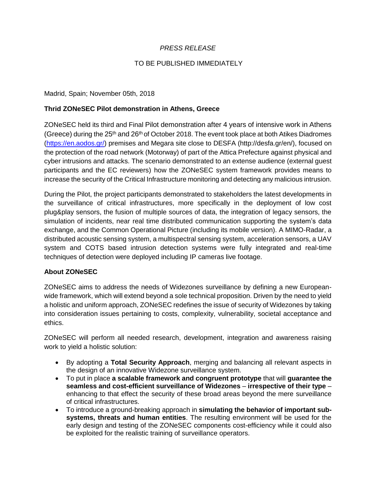## *PRESS RELEASE*

## TO BE PUBLISHED IMMEDIATELY

## Madrid, Spain; November 05th, 2018

#### **Thrid ZONeSEC Pilot demonstration in Athens, Greece**

ZONeSEC held its third and Final Pilot demonstration after 4 years of intensive work in Athens (Greece) during the 25<sup>th</sup> and 26<sup>th</sup> of October 2018. The event took place at both Atikes Diadromes [\(https://en.aodos.gr/\)](https://en.aodos.gr/) premises and Megara site close to DESFA (http://desfa.gr/en/), focused on the protection of the road network (Motorway) of part of the Attica Prefecture against physical and cyber intrusions and attacks. The scenario demonstrated to an extense audience (external guest participants and the EC reviewers) how the ZONeSEC system framework provides means to increase the security of the Critical Infrastructure monitoring and detecting any malicious intrusion.

During the Pilot, the project participants demonstrated to stakeholders the latest developments in the surveillance of critical infrastructures, more specifically in the deployment of low cost plug&play sensors, the fusion of multiple sources of data, the integration of legacy sensors, the simulation of incidents, near real time distributed communication supporting the system's data exchange, and the Common Operational Picture (including its mobile version). A MIMO-Radar, a distributed acoustic sensing system, a multispectral sensing system, acceleration sensors, a UAV system and COTS based intrusion detection systems were fully integrated and real-time techniques of detection were deployed including IP cameras live footage.

## **About ZONeSEC**

ZONeSEC aims to address the needs of Widezones surveillance by defining a new Europeanwide framework, which will extend beyond a sole technical proposition. Driven by the need to yield a holistic and uniform approach, ZONeSEC redefines the issue of security of Widezones by taking into consideration issues pertaining to costs, complexity, vulnerability, societal acceptance and ethics.

ZONeSEC will perform all needed research, development, integration and awareness raising work to yield a holistic solution:

- By adopting a **Total Security Approach**, merging and balancing all relevant aspects in the design of an innovative Widezone surveillance system.
- To put in place **a scalable framework and congruent prototype** that will **guarantee the seamless and cost-efficient surveillance of Widezones** – **irrespective of their type** – enhancing to that effect the security of these broad areas beyond the mere surveillance of critical infrastructures.
- To introduce a ground-breaking approach in **simulating the behavior of important subsystems, threats and human entities**. The resulting environment will be used for the early design and testing of the ZONeSEC components cost-efficiency while it could also be exploited for the realistic training of surveillance operators.